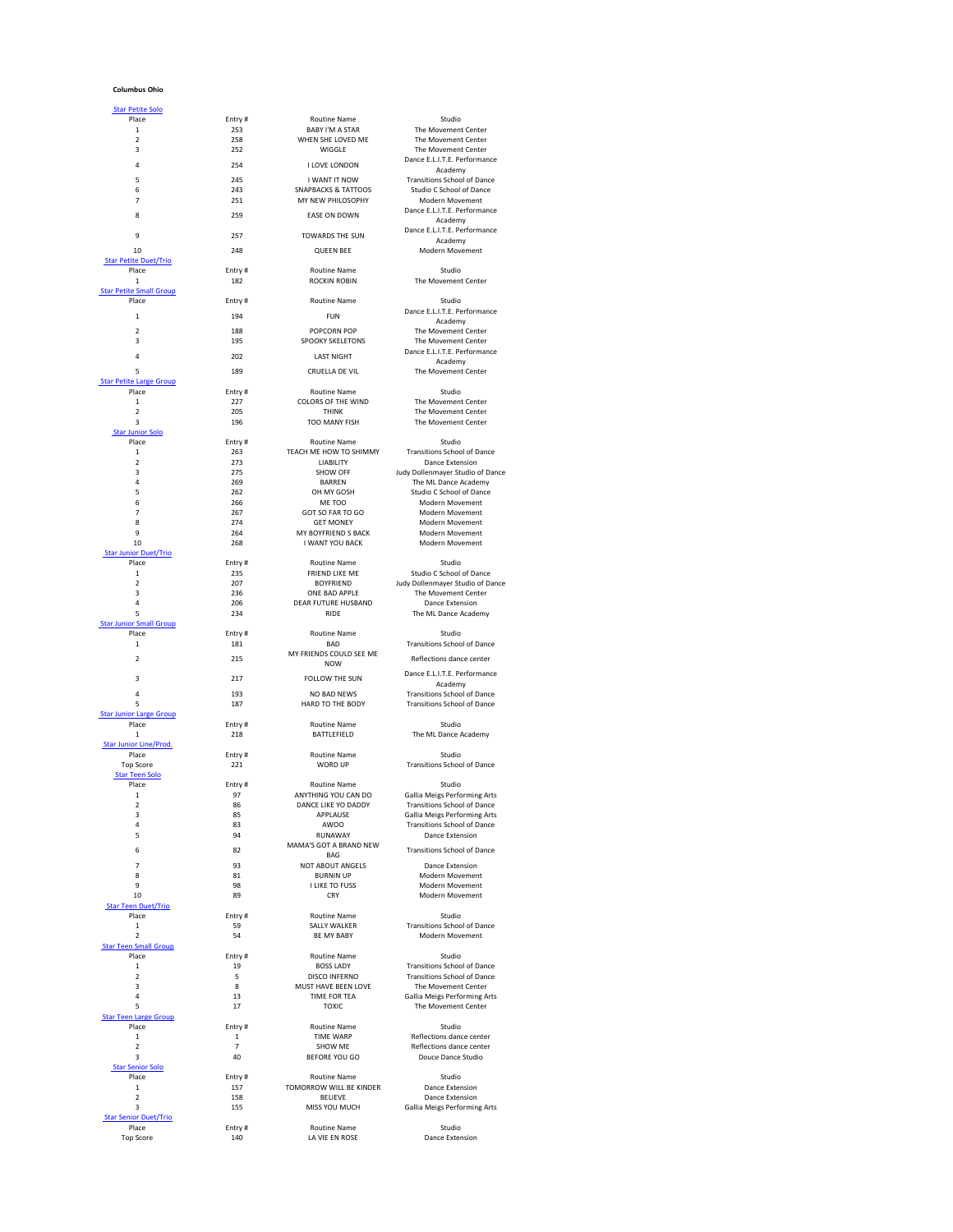## **Columbus Ohio**

| Place<br>$\mathbf{1}$                                                 |        |                                |                                     |
|-----------------------------------------------------------------------|--------|--------------------------------|-------------------------------------|
|                                                                       | Entry# | <b>Routine Name</b>            | Studio                              |
|                                                                       | 253    | <b>BABY I'M A STAR</b>         | The Movement Center                 |
| $\overline{2}$                                                        | 258    | WHEN SHE LOVED ME              | The Movement Center                 |
| 3                                                                     | 252    | <b>WIGGLE</b>                  | The Movement Center                 |
|                                                                       |        |                                | Dance E.L.I.T.E. Performance        |
| 4                                                                     | 254    | <b>I LOVE LONDON</b>           |                                     |
|                                                                       |        |                                | Academy                             |
| 5                                                                     | 245    | <b>I WANT IT NOW</b>           | <b>Transitions School of Dance</b>  |
| 6                                                                     | 243    | <b>SNAPBACKS &amp; TATTOOS</b> | <b>Studio C School of Dance</b>     |
| $\overline{7}$                                                        | 251    | MY NEW PHILOSOPHY              | Modern Movement                     |
| 8                                                                     | 259    | <b>EASE ON DOWN</b>            | Dance E.L.I.T.E. Performance        |
|                                                                       |        |                                | Academy                             |
|                                                                       |        |                                | Dance E.L.I.T.E. Performance        |
| 9                                                                     | 257    | <b>TOWARDS THE SUN</b>         | Academy                             |
| 10                                                                    | 248    | <b>QUEEN BEE</b>               | Modern Movement                     |
| <b>Star Petite Duet/Trio</b>                                          |        |                                |                                     |
| Place                                                                 | Entry# | <b>Routine Name</b>            | Studio                              |
|                                                                       |        |                                |                                     |
| 1                                                                     | 182    | <b>ROCKIN ROBIN</b>            | The Movement Center                 |
| <b>Star Petite Small Group</b>                                        |        |                                |                                     |
| Place                                                                 | Entry# | <b>Routine Name</b>            | Studio                              |
| $\mathbf{1}$                                                          | 194    | <b>FUN</b>                     | Dance E.L.I.T.E. Performance        |
|                                                                       |        |                                | Academy                             |
| $\overline{2}$                                                        | 188    | POPCORN POP                    | The Movement Center                 |
| 3                                                                     | 195    | <b>SPOOKY SKELETONS</b>        | The Movement Center                 |
|                                                                       |        |                                | Dance E.L.I.T.E. Performance        |
| 4                                                                     | 202    | <b>LAST NIGHT</b>              | Academy                             |
| 5                                                                     | 189    | <b>CRUELLA DE VIL</b>          | The Movement Center                 |
|                                                                       |        |                                |                                     |
| <b>Star Petite Large Group</b>                                        |        |                                |                                     |
| Place                                                                 | Entry# | <b>Routine Name</b>            | Studio                              |
| $\mathbf{1}$                                                          | 227    | <b>COLORS OF THE WIND</b>      | The Movement Center                 |
| $\overline{2}$                                                        | 205    | <b>THINK</b>                   | The Movement Center                 |
| 3                                                                     | 196    | <b>TOO MANY FISH</b>           | The Movement Center                 |
| <b>Star Junior Solo</b>                                               |        |                                |                                     |
| Place                                                                 | Entry# | <b>Routine Name</b>            | Studio                              |
| $\mathbf{1}$                                                          | 263    | TEACH ME HOW TO SHIMMY         | <b>Transitions School of Dance</b>  |
| $\overline{2}$                                                        | 273    | <b>LIABILITY</b>               | <b>Dance Extension</b>              |
| 3                                                                     | 275    | <b>SHOW OFF</b>                | Judy Dollenmayer Studio of Dance    |
| 4                                                                     | 269    | <b>BARREN</b>                  | The ML Dance Academy                |
|                                                                       |        |                                |                                     |
| 5                                                                     | 262    | OH MY GOSH                     | <b>Studio C School of Dance</b>     |
| 6                                                                     | 266    | ME TOO                         | <b>Modern Movement</b>              |
| 7                                                                     | 267    | GOT SO FAR TO GO               | Modern Movement                     |
| 8                                                                     | 274    | <b>GET MONEY</b>               | <b>Modern Movement</b>              |
| 9                                                                     | 264    | MY BOYFRIEND S BACK            | Modern Movement                     |
| 10                                                                    | 268    | <b>I WANT YOU BACK</b>         | Modern Movement                     |
| <b>Star Junior Duet/Trio</b>                                          |        |                                |                                     |
| Place                                                                 | Entry# | <b>Routine Name</b>            | Studio                              |
| $\mathbf{1}$                                                          | 235    | FRIEND LIKE ME                 | <b>Studio C School of Dance</b>     |
|                                                                       | 207    |                                |                                     |
| $\overline{2}$                                                        |        | <b>BOYFRIEND</b>               | Judy Dollenmayer Studio of Dance    |
| 3                                                                     | 236    | ONE BAD APPLE                  | The Movement Center                 |
| 4                                                                     | 206    | <b>DEAR FUTURE HUSBAND</b>     | Dance Extension                     |
| 5                                                                     | 234    | <b>RIDE</b>                    | The ML Dance Academy                |
| <b>Star Junior Small Group</b>                                        |        |                                |                                     |
| Place                                                                 | Entry# | <b>Routine Name</b>            | Studio                              |
| $\mathbf{1}$                                                          | 181    | <b>BAD</b>                     | <b>Transitions School of Dance</b>  |
|                                                                       |        | MY FRIENDS COULD SEE ME        |                                     |
| $\overline{2}$                                                        | 215    | <b>NOW</b>                     | Reflections dance center            |
|                                                                       |        |                                | Dance E.L.I.T.E. Performance        |
| 3                                                                     | 217    | FOLLOW THE SUN                 |                                     |
|                                                                       |        |                                | Academy                             |
| 4                                                                     | 193    | <b>NO BAD NEWS</b>             | <b>Transitions School of Dance</b>  |
| 5                                                                     | 187    | HARD TO THE BODY               | <b>Transitions School of Dance</b>  |
| <b>Star Junior Large Group</b>                                        |        |                                |                                     |
| Place                                                                 | Entry# | <b>Routine Name</b>            | Studio                              |
| 1                                                                     | 218    | <b>BATTLEFIELD</b>             | The ML Dance Academy                |
| <b>Star Junior Line/Prod.</b>                                         |        |                                |                                     |
| Place                                                                 | Entry# | <b>Routine Name</b>            | Studio                              |
| <b>Top Score</b>                                                      | 221    | <b>WORD UP</b>                 | <b>Transitions School of Dance</b>  |
|                                                                       |        |                                |                                     |
|                                                                       |        |                                |                                     |
| <b>Star Teen Solo</b>                                                 |        |                                |                                     |
| Place                                                                 | Entry# | <b>Routine Name</b>            | Studio                              |
| $\mathbf{1}$                                                          | 97     | ANYTHING YOU CAN DO            | <b>Gallia Meigs Performing Arts</b> |
| $\overline{2}$                                                        | 86     | DANCE LIKE YO DADDY            | <b>Transitions School of Dance</b>  |
| 3                                                                     | 85     | APPLAUSE                       | <b>Gallia Meigs Performing Arts</b> |
| 4                                                                     | 83     | <b>AWOO</b>                    | <b>Transitions School of Dance</b>  |
| 5                                                                     | 94     | <b>RUNAWAY</b>                 | Dance Extension                     |
|                                                                       |        | MAMA'S GOT A BRAND NEW         |                                     |
| 6                                                                     | 82     |                                | <b>Transitions School of Dance</b>  |
|                                                                       |        | <b>BAG</b>                     |                                     |
| $\overline{7}$                                                        | 93     | <b>NOT ABOUT ANGELS</b>        | <b>Dance Extension</b>              |
| 8                                                                     | 81     | <b>BURNIN UP</b>               | Modern Movement                     |
| 9                                                                     | 98     | I LIKE TO FUSS                 | Modern Movement                     |
| 10                                                                    | 89     | <b>CRY</b>                     | <b>Modern Movement</b>              |
| <b>Star Teen Duet/Trio</b>                                            |        |                                |                                     |
| Place                                                                 | Entry# | <b>Routine Name</b>            | Studio                              |
| $\mathbf{1}$                                                          | 59     | <b>SALLY WALKER</b>            | <b>Transitions School of Dance</b>  |
| 2                                                                     | 54     | BE MY BABY                     | Modern Movement                     |
|                                                                       |        |                                |                                     |
| Place                                                                 |        | <b>Routine Name</b>            | Studio                              |
|                                                                       | Entry# |                                |                                     |
| $\mathbf{1}$                                                          | 19     | <b>BOSS LADY</b>               | <b>Transitions School of Dance</b>  |
| $\overline{2}$                                                        | 5      | <b>DISCO INFERNO</b>           | <b>Transitions School of Dance</b>  |
| 3                                                                     | 8      | MUST HAVE BEEN LOVE            | The Movement Center                 |
| 4                                                                     | 13     | TIME FOR TEA                   | <b>Gallia Meigs Performing Arts</b> |
| 5                                                                     | 17     | <b>TOXIC</b>                   | The Movement Center                 |
|                                                                       |        |                                |                                     |
| Place                                                                 | Entry# | <b>Routine Name</b>            | Studio                              |
| $\mathbf{1}$                                                          | 1      | <b>TIME WARP</b>               | Reflections dance center            |
|                                                                       |        |                                |                                     |
| $\overline{2}$                                                        | 7      | <b>SHOW ME</b>                 | Reflections dance center            |
| 3                                                                     | 40     | <b>BEFORE YOU GO</b>           | Douce Dance Studio                  |
| <b>Star Senior Solo</b>                                               |        |                                |                                     |
| Place                                                                 | Entry# | <b>Routine Name</b>            | Studio                              |
| 1                                                                     | 157    | TOMORROW WILL BE KINDER        | <b>Dance Extension</b>              |
| $\overline{2}$                                                        | 158    | <b>BELIEVE</b>                 | Dance Extension                     |
| 3                                                                     | 155    | MISS YOU MUCH                  | <b>Gallia Meigs Performing Arts</b> |
| <b>Star Senior Duet/Trio</b>                                          |        |                                |                                     |
| <b>Star Teen Small Group</b><br><b>Star Teen Large Group</b><br>Place | Entry# | <b>Routine Name</b>            | Studio                              |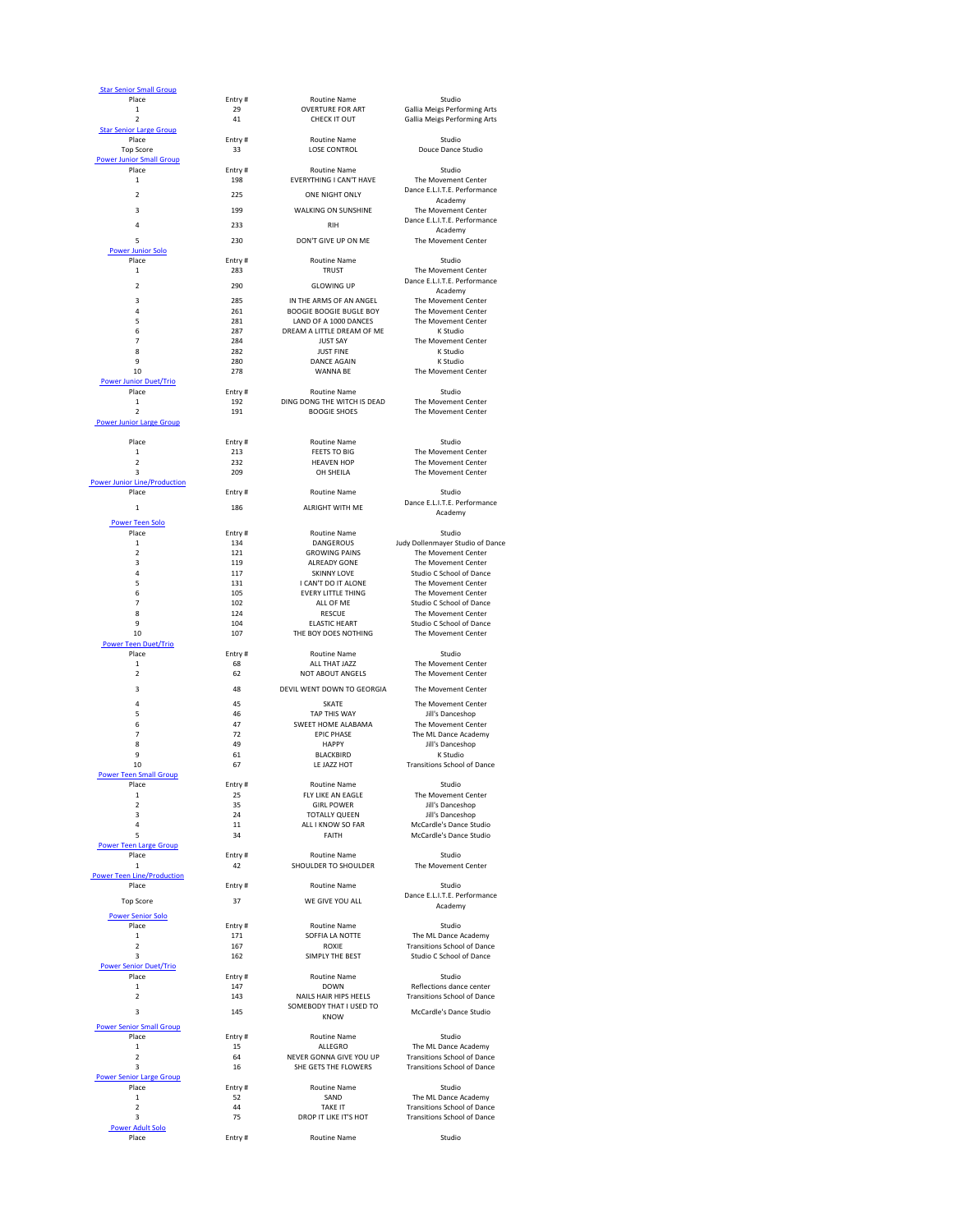| <b>Star Senior Small Group</b>               |               |                                                         |                                                            |
|----------------------------------------------|---------------|---------------------------------------------------------|------------------------------------------------------------|
| Place<br>1                                   | Entry#<br>29  | <b>Routine Name</b><br><b>OVERTURE FOR ART</b>          | Studio<br><b>Gallia Meigs Performing Arts</b>              |
| $\overline{2}$                               | 41            | CHECK IT OUT                                            | <b>Gallia Meigs Performing Arts</b>                        |
| <b>Star Senior Large Group</b>               |               |                                                         |                                                            |
| Place<br><b>Top Score</b>                    | Entry#<br>33  | <b>Routine Name</b><br><b>LOSE CONTROL</b>              | Studio<br>Douce Dance Studio                               |
| <b>Power Junior Small Group</b>              |               |                                                         |                                                            |
| Place                                        | Entry#        | <b>Routine Name</b><br><b>EVERYTHING I CAN'T HAVE</b>   | Studio                                                     |
| $\mathbf{1}$                                 | 198           |                                                         | The Movement Center<br>Dance E.L.I.T.E. Performance        |
| 2                                            | 225           | ONE NIGHT ONLY                                          | Academy                                                    |
| 3                                            | 199           | <b>WALKING ON SUNSHINE</b>                              | The Movement Center                                        |
| 4                                            | 233           | <b>RIH</b>                                              | Dance E.L.I.T.E. Performance<br>Academy                    |
| 5                                            | 230           | DON'T GIVE UP ON ME                                     | The Movement Center                                        |
| <b>Power Junior Solo</b>                     |               |                                                         |                                                            |
| Place<br>$\mathbf{1}$                        | Entry#<br>283 | <b>Routine Name</b><br><b>TRUST</b>                     | Studio<br>The Movement Center                              |
|                                              |               |                                                         | Dance E.L.I.T.E. Performance                               |
| $\overline{2}$                               | 290           | <b>GLOWING UP</b>                                       | Academy                                                    |
| 3                                            | 285           | IN THE ARMS OF AN ANGEL                                 | The Movement Center                                        |
| 4<br>5                                       | 261<br>281    | <b>BOOGIE BOOGIE BUGLE BOY</b><br>LAND OF A 1000 DANCES | The Movement Center<br>The Movement Center                 |
| 6                                            | 287           | DREAM A LITTLE DREAM OF ME                              | K Studio                                                   |
| $\overline{7}$                               | 284           | <b>JUST SAY</b>                                         | The Movement Center                                        |
| 8<br>9                                       | 282<br>280    | <b>JUST FINE</b><br><b>DANCE AGAIN</b>                  | K Studio<br>K Studio                                       |
| 10                                           | 278           | <b>WANNA BE</b>                                         | The Movement Center                                        |
| <b>Power Junior Duet/Trio</b>                |               |                                                         |                                                            |
| Place                                        | Entry#        | <b>Routine Name</b>                                     | Studio                                                     |
| $\mathbf{1}$<br>$\overline{2}$               | 192<br>191    | DING DONG THE WITCH IS DEAD<br><b>BOOGIE SHOES</b>      | The Movement Center<br>The Movement Center                 |
| <b>Power Junior Large Group</b>              |               |                                                         |                                                            |
|                                              |               |                                                         |                                                            |
| Place<br>$\mathbf{1}$                        | Entry#<br>213 | <b>Routine Name</b><br><b>FEETS TO BIG</b>              | Studio<br>The Movement Center                              |
| 2                                            | 232           | <b>HEAVEN HOP</b>                                       | The Movement Center                                        |
| 3                                            | 209           | OH SHEILA                                               | The Movement Center                                        |
| <b>Power Junior Line/Production</b><br>Place |               | <b>Routine Name</b>                                     | Studio                                                     |
|                                              | Entry#        |                                                         | Dance E.L.I.T.E. Performance                               |
| $\mathbf{1}$                                 | 186           | <b>ALRIGHT WITH ME</b>                                  | Academy                                                    |
| <b>Power Teen Solo</b>                       |               |                                                         |                                                            |
| Place<br>1                                   | Entry#<br>134 | <b>Routine Name</b><br><b>DANGEROUS</b>                 | Studio<br>Judy Dollenmayer Studio of Dance                 |
| 2                                            | 121           | <b>GROWING PAINS</b>                                    | The Movement Center                                        |
| 3                                            | 119           | <b>ALREADY GONE</b>                                     | The Movement Center                                        |
| 4                                            | 117<br>131    | <b>SKINNY LOVE</b><br>I CAN'T DO IT ALONE               | <b>Studio C School of Dance</b><br>The Movement Center     |
| 5<br>6                                       | 105           | <b>EVERY LITTLE THING</b>                               | The Movement Center                                        |
| 7                                            | 102           | ALL OF ME                                               | <b>Studio C School of Dance</b>                            |
| 8                                            | 124           | <b>RESCUE</b>                                           | The Movement Center                                        |
| 9<br>10                                      | 104<br>107    | <b>ELASTIC HEART</b><br>THE BOY DOES NOTHING            | <b>Studio C School of Dance</b><br>The Movement Center     |
| <b>Power Teen Duet/Trio</b>                  |               |                                                         |                                                            |
| Place                                        | Entry#        | <b>Routine Name</b>                                     | Studio                                                     |
| $\mathbf{1}$<br>2                            | 68<br>62      | ALL THAT JAZZ<br>NOT ABOUT ANGELS                       | The Movement Center<br>The Movement Center                 |
|                                              |               | DEVIL WENT DOWN TO GEORGIA                              | The Movement Center                                        |
| 3                                            | 48            |                                                         |                                                            |
| 4<br>5                                       | 45<br>46      | <b>SKATE</b><br>TAP THIS WAY                            | The Movement Center<br>Jill's Danceshop                    |
| 6                                            | 47            | SWEET HOME ALABAMA                                      | The Movement Center                                        |
| $\overline{7}$                               | 72            | <b>EPIC PHASE</b>                                       | The ML Dance Academy                                       |
| 8                                            | 49            | <b>HAPPY</b><br><b>BLACKBIRD</b>                        | Jill's Danceshop<br>K Studio                               |
| 9<br>10                                      | 61<br>67      | LE JAZZ HOT                                             | <b>Transitions School of Dance</b>                         |
| <b>Power Teen Small Group</b>                |               |                                                         |                                                            |
| Place                                        | Entry#        | <b>Routine Name</b>                                     | Studio                                                     |
| 1<br>$\overline{2}$                          | 25<br>35      | FLY LIKE AN EAGLE<br><b>GIRL POWER</b>                  | The Movement Center<br>Jill's Danceshop                    |
| 3                                            | 24            | <b>TOTALLY QUEEN</b>                                    | Jill's Danceshop                                           |
| 4                                            | 11            | ALL I KNOW SO FAR                                       | McCardle's Dance Studio                                    |
| 5<br><b>Power Teen Large Group</b>           | 34            | <b>FAITH</b>                                            | <b>McCardle's Dance Studio</b>                             |
| Place                                        | Entry#        | <b>Routine Name</b>                                     | Studio                                                     |
| $\mathbf{1}$                                 | 42            | <b>SHOULDER TO SHOULDER</b>                             | The Movement Center                                        |
| <b>Power Teen Line/Production</b><br>Place   | Entry#        | <b>Routine Name</b>                                     | Studio                                                     |
|                                              |               |                                                         | Dance E.L.I.T.E. Performance                               |
| <b>Top Score</b>                             | 37            | WE GIVE YOU ALL                                         | Academy                                                    |
| <b>Power Senior Solo</b><br>Place            |               | <b>Routine Name</b>                                     | Studio                                                     |
| $\mathbf{1}$                                 | Entry#<br>171 | SOFFIA LA NOTTE                                         | The ML Dance Academy                                       |
| $\overline{2}$                               | 167           | <b>ROXIE</b>                                            | <b>Transitions School of Dance</b>                         |
| 3                                            | 162           | SIMPLY THE BEST                                         | <b>Studio C School of Dance</b>                            |
| <b>Power Senior Duet/Trio</b><br>Place       | Entry#        | <b>Routine Name</b>                                     | Studio                                                     |
| $\mathbf{1}$                                 | 147           | <b>DOWN</b>                                             | Reflections dance center                                   |
| $\overline{2}$                               | 143           | <b>NAILS HAIR HIPS HEELS</b>                            | <b>Transitions School of Dance</b>                         |
| 3                                            | 145           | SOMEBODY THAT I USED TO<br><b>KNOW</b>                  | McCardle's Dance Studio                                    |
| <b>Power Senior Small Group</b>              |               |                                                         |                                                            |
| Place                                        | Entry#        | <b>Routine Name</b>                                     | Studio                                                     |
| 1<br>2                                       | 15<br>64      | ALLEGRO<br>NEVER GONNA GIVE YOU UP                      | The ML Dance Academy<br><b>Transitions School of Dance</b> |
| 3                                            | 16            | SHE GETS THE FLOWERS                                    | <b>Transitions School of Dance</b>                         |
| <b>Power Senior Large Group</b>              |               |                                                         |                                                            |
| Place                                        | Entry#        | <b>Routine Name</b><br>SAND                             | Studio<br>The ML Dance Academy                             |
| 1<br>2                                       |               |                                                         |                                                            |
|                                              | 52<br>44      | <b>TAKE IT</b>                                          | <b>Transitions School of Dance</b>                         |
| 3                                            | 75            | DROP IT LIKE IT'S HOT                                   | <b>Transitions School of Dance</b>                         |
| <b>Power Adult Solo</b><br>Place             | Entry#        | <b>Routine Name</b>                                     | Studio                                                     |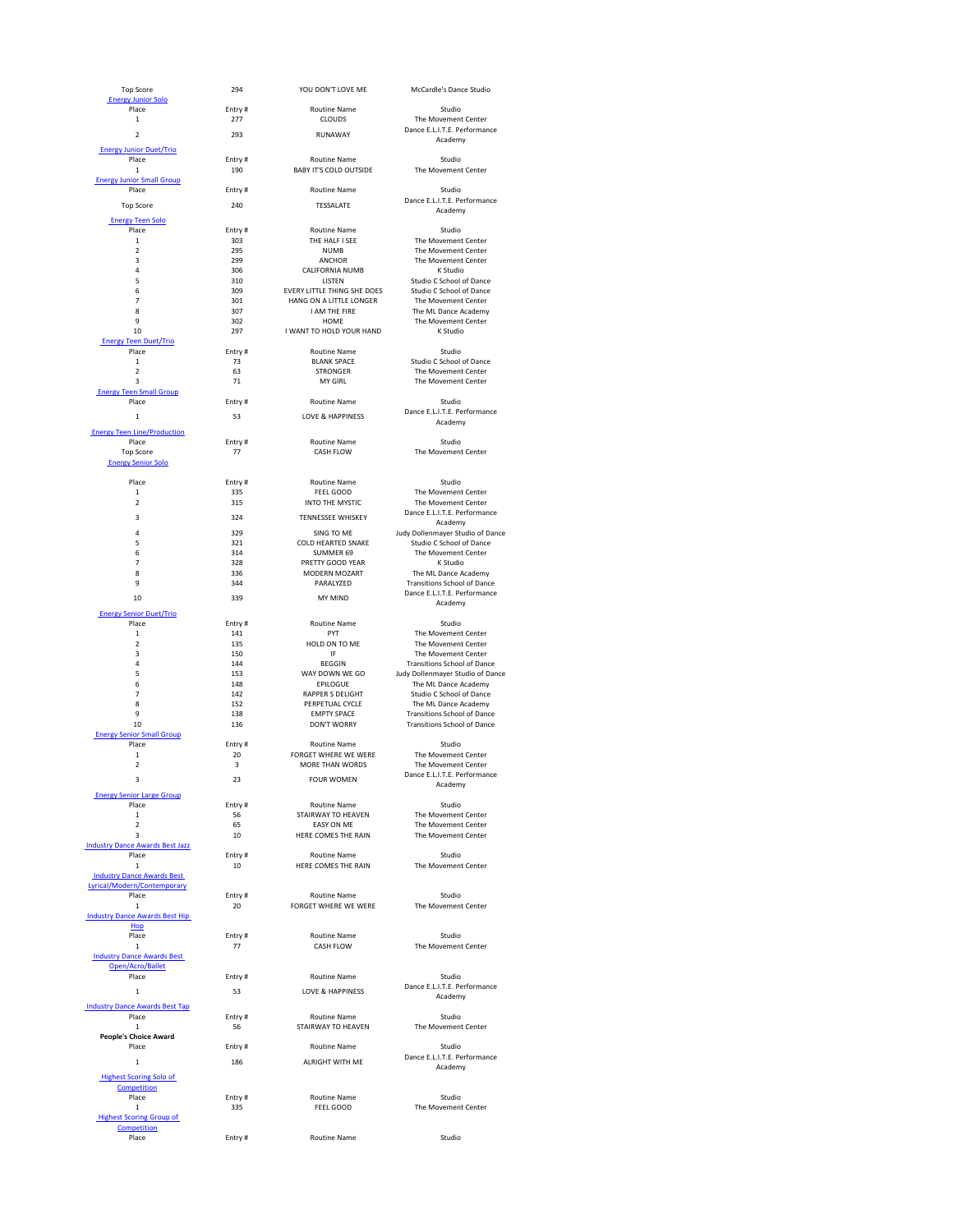| <b>Top Score</b>                                  | 294           | YOU DON'T LOVE ME                                    | <b>McCardle's Dance Studio</b>                                     |
|---------------------------------------------------|---------------|------------------------------------------------------|--------------------------------------------------------------------|
| <b>Energy Junior Solo</b><br>Place                | Entry#        | <b>Routine Name</b>                                  | Studio                                                             |
| $\mathbf{1}$                                      | 277           | <b>CLOUDS</b>                                        | The Movement Center                                                |
| $\overline{2}$                                    | 293           | RUNAWAY                                              | Dance E.L.I.T.E. Performance<br>Academy                            |
| <b>Energy Junior Duet/Trio</b>                    |               |                                                      |                                                                    |
| Place<br>$\mathbf{1}$                             | Entry#<br>190 | <b>Routine Name</b><br><b>BABY IT'S COLD OUTSIDE</b> | Studio<br>The Movement Center                                      |
| <b>Energy Junior Small Group</b>                  |               |                                                      |                                                                    |
| Place                                             | Entry#        | <b>Routine Name</b>                                  | Studio<br>Dance E.L.I.T.E. Performance                             |
| <b>Top Score</b>                                  | 240           | <b>TESSALATE</b>                                     | Academy                                                            |
| <b>Energy Teen Solo</b><br>Place                  | Entry#        | <b>Routine Name</b>                                  | Studio                                                             |
| 1                                                 | 303           | THE HALF I SEE                                       | The Movement Center                                                |
| $\overline{2}$<br>3                               | 295<br>299    | <b>NUMB</b><br><b>ANCHOR</b>                         | The Movement Center<br>The Movement Center                         |
| 4                                                 | 306           | <b>CALIFORNIA NUMB</b>                               | K Studio                                                           |
| 5<br>6                                            | 310<br>309    | <b>LISTEN</b><br><b>EVERY LITTLE THING SHE DOES</b>  | <b>Studio C School of Dance</b><br><b>Studio C School of Dance</b> |
| 7                                                 | 301           | HANG ON A LITTLE LONGER                              | The Movement Center                                                |
| 8<br>9                                            | 307<br>302    | I AM THE FIRE<br><b>HOME</b>                         | The ML Dance Academy<br>The Movement Center                        |
| 10                                                | 297           | I WANT TO HOLD YOUR HAND                             | K Studio                                                           |
| <b>Energy Teen Duet/Trio</b><br>Place             | Entry#        | <b>Routine Name</b>                                  | Studio                                                             |
| 1                                                 | 73            | <b>BLANK SPACE</b>                                   | <b>Studio C School of Dance</b>                                    |
| $\overline{2}$<br>3                               | 63<br>71      | <b>STRONGER</b><br><b>MY GIRL</b>                    | The Movement Center<br>The Movement Center                         |
| <b>Energy Teen Small Group</b>                    |               |                                                      |                                                                    |
| Place                                             | Entry#        | Routine Name                                         | Studio<br>Dance E.L.I.T.E. Performance                             |
| 1                                                 | 53            | <b>LOVE &amp; HAPPINESS</b>                          | Academy                                                            |
| <b>Energy Teen Line/Production</b><br>Place       | Entry#        | <b>Routine Name</b>                                  | Studio                                                             |
| <b>Top Score</b>                                  | 77            | <b>CASH FLOW</b>                                     | The Movement Center                                                |
| <b>Energy Senior Solo</b>                         |               |                                                      |                                                                    |
| Place                                             | Entry#        | <b>Routine Name</b>                                  | Studio                                                             |
| 1<br>$\overline{2}$                               | 335<br>315    | FEEL GOOD<br><b>INTO THE MYSTIC</b>                  | The Movement Center<br>The Movement Center                         |
| 3                                                 | 324           | <b>TENNESSEE WHISKEY</b>                             | Dance E.L.I.T.E. Performance                                       |
| 4                                                 | 329           | SING TO ME                                           | Academy<br>Judy Dollenmayer Studio of Dance                        |
| 5                                                 | 321           | <b>COLD HEARTED SNAKE</b>                            | <b>Studio C School of Dance</b>                                    |
| 6<br>7                                            | 314<br>328    | <b>SUMMER 69</b><br>PRETTY GOOD YEAR                 | The Movement Center<br>K Studio                                    |
| 8                                                 | 336           | <b>MODERN MOZART</b>                                 | The ML Dance Academy                                               |
| 9                                                 | 344           | PARALYZED                                            | <b>Transitions School of Dance</b><br>Dance E.L.I.T.E. Performance |
| 10                                                | 339           | <b>MY MIND</b>                                       | Academy                                                            |
| <b>Energy Senior Duet/Trio</b><br>Place           | Entry#        | <b>Routine Name</b>                                  | Studio                                                             |
| $\mathbf{1}$                                      | 141           | PYT                                                  | The Movement Center                                                |
| $\overline{2}$<br>3                               | 135<br>150    | HOLD ON TO ME<br>IF                                  | The Movement Center<br>The Movement Center                         |
| 4                                                 | 144           | <b>BEGGIN</b>                                        | <b>Transitions School of Dance</b>                                 |
| 5<br>6                                            | 153<br>148    | WAY DOWN WE GO<br><b>EPILOGUE</b>                    | Judy Dollenmayer Studio of Dance<br>The ML Dance Academy           |
| 7                                                 | 142           | <b>RAPPER S DELIGHT</b>                              | <b>Studio C School of Dance</b>                                    |
| 8<br>9                                            | 152<br>138    | PERPETUAL CYCLE<br><b>EMPTY SPACE</b>                | The ML Dance Academy<br><b>Transitions School of Dance</b>         |
| 10                                                | 136           | <b>DON'T WORRY</b>                                   | <b>Transitions School of Dance</b>                                 |
| <b>Energy Senior Small Group</b><br>Place         | Entry#        | <b>Routine Name</b>                                  | Studio                                                             |
| $\mathbf{1}$                                      | 20            | <b>FORGET WHERE WE WERE</b>                          | The Movement Center                                                |
| 2                                                 | 3             | <b>MORE THAN WORDS</b>                               | The Movement Center<br>Dance E.L.I.T.E. Performance                |
| 3                                                 | 23            | <b>FOUR WOMEN</b>                                    | Academy                                                            |
| <b>Energy Senior Large Group</b><br>Place         | Entry#        | <b>Routine Name</b>                                  | Studio                                                             |
| 1                                                 | 56            | STAIRWAY TO HEAVEN                                   | The Movement Center                                                |
| 2<br>3                                            | 65<br>10      | <b>EASY ON ME</b><br>HERE COMES THE RAIN             | The Movement Center<br>The Movement Center                         |
| <b>Industry Dance Awards Best Jazz</b>            |               |                                                      |                                                                    |
| Place<br>$\mathbf{1}$                             | Entry#<br>10  | <b>Routine Name</b><br>HERE COMES THE RAIN           | Studio<br>The Movement Center                                      |
| <b>Industry Dance Awards Best</b>                 |               |                                                      |                                                                    |
| Lyrical/Modern/Contemporary<br>Place              | Entry#        | <b>Routine Name</b>                                  | Studio                                                             |
| 1                                                 | 20            | FORGET WHERE WE WERE                                 | The Movement Center                                                |
| <b>Industry Dance Awards Best Hip</b><br>Hop      |               |                                                      |                                                                    |
| Place                                             | Entry#        | <b>Routine Name</b>                                  | Studio                                                             |
| $\mathbf{1}$<br><b>Industry Dance Awards Best</b> | 77            | <b>CASH FLOW</b>                                     | The Movement Center                                                |
| Open/Acro/Ballet                                  |               |                                                      |                                                                    |
| Place                                             | Entry#        | <b>Routine Name</b>                                  | Studio<br>Dance E.L.I.T.E. Performance                             |
| 1                                                 | 53            | <b>LOVE &amp; HAPPINESS</b>                          | Academy                                                            |
| <b>Industry Dance Awards Best Tap</b><br>Place    | Entry#        | <b>Routine Name</b>                                  | Studio                                                             |
| $\mathbf{1}$                                      | 56            | STAIRWAY TO HEAVEN                                   | The Movement Center                                                |
| <b>People's Choice Award</b><br>Place             | Entry#        | <b>Routine Name</b>                                  | Studio                                                             |
| $\mathbf{1}$                                      | 186           | <b>ALRIGHT WITH ME</b>                               | Dance E.L.I.T.E. Performance                                       |
| <b>Highest Scoring Solo of</b>                    |               |                                                      | Academy                                                            |
| Competition<br>Place                              | Entry#        | <b>Routine Name</b>                                  | Studio                                                             |
| 1                                                 | 335           | FEEL GOOD                                            | The Movement Center                                                |
| <b>Highest Scoring Group of</b><br>Competition    |               |                                                      |                                                                    |
| Place                                             | Entry#        | <b>Routine Name</b>                                  | Studio                                                             |